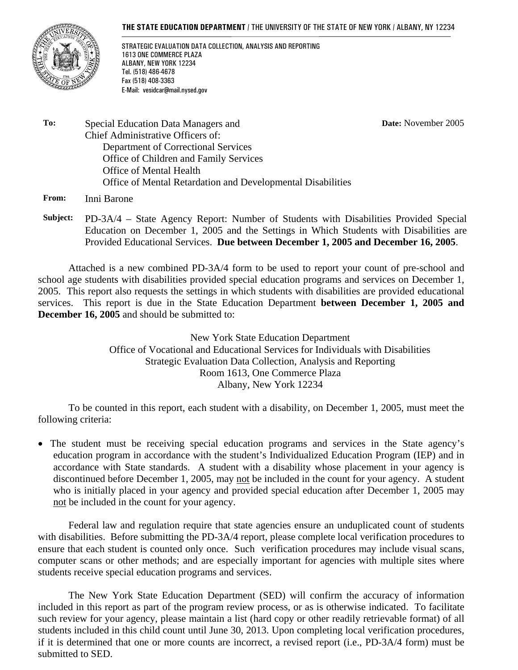#### **THE STATE EDUCATION DEPARTMENT** / THE UNIVERSITY OF THE STATE OF NEW YORK / ALBANY, NY 12234



STRATEGIC EVALUATION DATA COLLECTION, ANALYSIS AND REPORTING 1613 ONE COMMERCE PLAZA ALBANY, NEW YORK 12234 Tel. (518) 486-4678 Fax (518) 408-3363 E-Mail: vesidcar@mail.nysed.gov

**Date:** November 2005

**To:** Special Education Data Managers and Chief Administrative Officers of: Department of Correctional Services Office of Children and Family Services Office of Mental Health Office of Mental Retardation and Developmental Disabilities

**From:** Inni Barone

**Subject:** PD-3A/4 – State Agency Report: Number of Students with Disabilities Provided Special Education on December 1, 2005 and the Settings in Which Students with Disabilities are Provided Educational Services. **Due between December 1, 2005 and December 16, 2005**.

Attached is a new combined PD-3A/4 form to be used to report your count of pre-school and school age students with disabilities provided special education programs and services on December 1, 2005. This report also requests the settings in which students with disabilities are provided educational services. This report is due in the State Education Department **between December 1, 2005 and December 16, 2005** and should be submitted to:

> New York State Education Department Office of Vocational and Educational Services for Individuals with Disabilities Strategic Evaluation Data Collection, Analysis and Reporting Room 1613, One Commerce Plaza Albany, New York 12234

To be counted in this report, each student with a disability, on December 1, 2005, must meet the following criteria:

• The student must be receiving special education programs and services in the State agency's education program in accordance with the student's Individualized Education Program (IEP) and in accordance with State standards. A student with a disability whose placement in your agency is discontinued before December 1, 2005, may not be included in the count for your agency. A student who is initially placed in your agency and provided special education after December 1, 2005 may not be included in the count for your agency.

Federal law and regulation require that state agencies ensure an unduplicated count of students with disabilities. Before submitting the PD-3A/4 report, please complete local verification procedures to ensure that each student is counted only once. Such verification procedures may include visual scans, computer scans or other methods; and are especially important for agencies with multiple sites where students receive special education programs and services.

The New York State Education Department (SED) will confirm the accuracy of information included in this report as part of the program review process, or as is otherwise indicated. To facilitate such review for your agency, please maintain a list (hard copy or other readily retrievable format) of all students included in this child count until June 30, 2013. Upon completing local verification procedures, if it is determined that one or more counts are incorrect, a revised report (i.e., PD-3A/4 form) must be submitted to SED.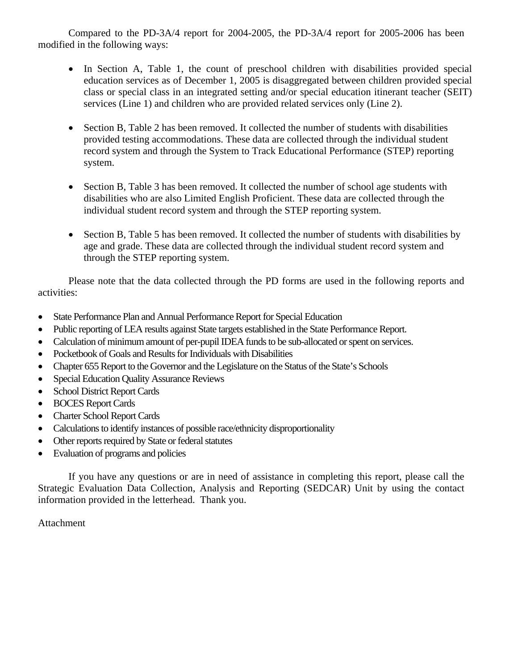Compared to the PD-3A/4 report for 2004-2005, the PD-3A/4 report for 2005-2006 has been modified in the following ways:

- In Section A, Table 1, the count of preschool children with disabilities provided special education services as of December 1, 2005 is disaggregated between children provided special class or special class in an integrated setting and/or special education itinerant teacher (SEIT) services (Line 1) and children who are provided related services only (Line 2).
- Section B, Table 2 has been removed. It collected the number of students with disabilities provided testing accommodations. These data are collected through the individual student record system and through the System to Track Educational Performance (STEP) reporting system.
- Section B, Table 3 has been removed. It collected the number of school age students with disabilities who are also Limited English Proficient. These data are collected through the individual student record system and through the STEP reporting system.
- Section B, Table 5 has been removed. It collected the number of students with disabilities by age and grade. These data are collected through the individual student record system and through the STEP reporting system.

Please note that the data collected through the PD forms are used in the following reports and activities:

- State Performance Plan and Annual Performance Report for Special Education
- Public reporting of LEA results against State targets established in the State Performance Report.
- Calculation of minimum amount of per-pupil IDEA funds to be sub-allocated or spent on services.
- Pocketbook of Goals and Results for Individuals with Disabilities
- Chapter 655 Report to the Governor and the Legislature on the Status of the State's Schools
- Special Education Quality Assurance Reviews
- School District Report Cards
- BOCES Report Cards
- Charter School Report Cards
- Calculations to identify instances of possible race/ethnicity disproportionality
- Other reports required by State or federal statutes
- Evaluation of programs and policies

If you have any questions or are in need of assistance in completing this report, please call the Strategic Evaluation Data Collection, Analysis and Reporting (SEDCAR) Unit by using the contact information provided in the letterhead. Thank you.

Attachment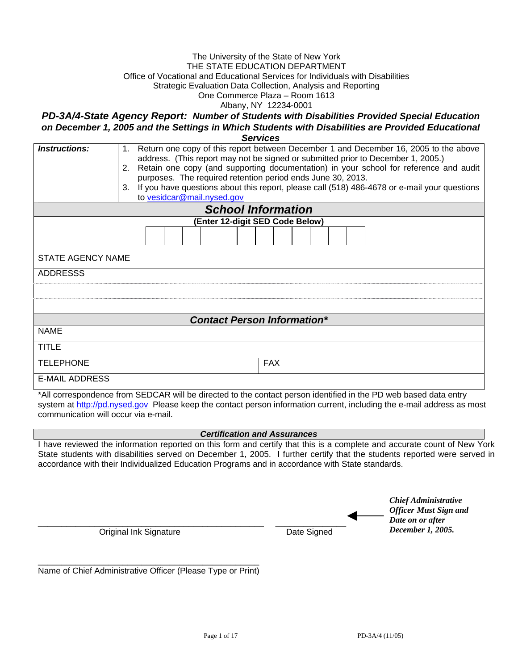#### The University of the State of New York THE STATE EDUCATION DEPARTMENT Office of Vocational and Educational Services for Individuals with Disabilities Strategic Evaluation Data Collection, Analysis and Reporting One Commerce Plaza – Room 1613 Albany, NY 12234-0001

*PD-3A/4-State Agency Report: Number of Students with Disabilities Provided Special Education on December 1, 2005 and the Settings in Which Students with Disabilities are Provided Educational* 

| <b>Services</b> |  |
|-----------------|--|
|                 |  |

| <i><b>Instructions:</b></i> | Return one copy of this report between December 1 and December 16, 2005 to the above<br>address. (This report may not be signed or submitted prior to December 1, 2005.)<br>2. Retain one copy (and supporting documentation) in your school for reference and audit<br>purposes. The required retention period ends June 30, 2013.<br>If you have questions about this report, please call (518) 486-4678 or e-mail your questions<br>3.<br>to vesidcar@mail.nysed.gov |  |  |  |  |  |
|-----------------------------|-------------------------------------------------------------------------------------------------------------------------------------------------------------------------------------------------------------------------------------------------------------------------------------------------------------------------------------------------------------------------------------------------------------------------------------------------------------------------|--|--|--|--|--|
|                             | <b>School Information</b>                                                                                                                                                                                                                                                                                                                                                                                                                                               |  |  |  |  |  |
|                             | (Enter 12-digit SED Code Below)                                                                                                                                                                                                                                                                                                                                                                                                                                         |  |  |  |  |  |
| <b>STATE AGENCY NAME</b>    |                                                                                                                                                                                                                                                                                                                                                                                                                                                                         |  |  |  |  |  |
| <b>ADDRESSS</b>             |                                                                                                                                                                                                                                                                                                                                                                                                                                                                         |  |  |  |  |  |
|                             |                                                                                                                                                                                                                                                                                                                                                                                                                                                                         |  |  |  |  |  |
|                             |                                                                                                                                                                                                                                                                                                                                                                                                                                                                         |  |  |  |  |  |
|                             | <b>Contact Person Information*</b>                                                                                                                                                                                                                                                                                                                                                                                                                                      |  |  |  |  |  |
| <b>NAME</b>                 |                                                                                                                                                                                                                                                                                                                                                                                                                                                                         |  |  |  |  |  |
| <b>TITLE</b>                |                                                                                                                                                                                                                                                                                                                                                                                                                                                                         |  |  |  |  |  |
| <b>TELEPHONE</b>            | <b>FAX</b>                                                                                                                                                                                                                                                                                                                                                                                                                                                              |  |  |  |  |  |
| <b>E-MAIL ADDRESS</b>       |                                                                                                                                                                                                                                                                                                                                                                                                                                                                         |  |  |  |  |  |

\*All correspondence from SEDCAR will be directed to the contact person identified in the PD web based data entry system at http://pd.nysed.gov Please keep the contact person information current, including the e-mail address as most communication will occur via e-mail.

#### *Certification and Assurances*

I have reviewed the information reported on this form and certify that this is a complete and accurate count of New York State students with disabilities served on December 1, 2005. I further certify that the students reported were served in accordance with their Individualized Education Programs and in accordance with State standards.

\_\_\_\_\_\_\_\_\_\_\_\_\_\_\_\_\_\_\_\_\_\_\_\_\_\_\_\_\_\_\_\_\_\_\_\_\_\_\_\_\_\_\_\_\_\_\_\_ \_\_\_\_\_\_\_\_\_\_\_\_\_\_\_ Original Ink Signature Date Signed

*Chief Administrative Officer Must Sign and Date on or after December 1, 2005.*

\_\_\_\_\_\_\_\_\_\_\_\_\_\_\_\_\_\_\_\_\_\_\_\_\_\_\_\_\_\_\_\_\_\_\_\_\_\_\_\_\_\_\_\_\_\_\_ Name of Chief Administrative Officer (Please Type or Print)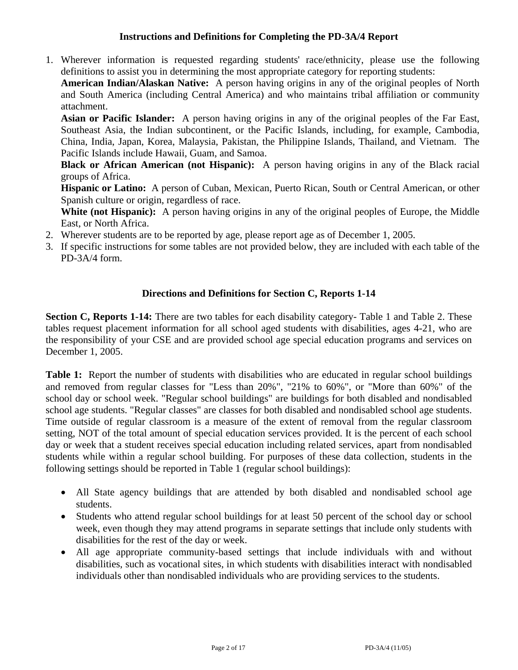## **Instructions and Definitions for Completing the PD-3A/4 Report**

1. Wherever information is requested regarding students' race/ethnicity, please use the following definitions to assist you in determining the most appropriate category for reporting students:

**American Indian/Alaskan Native:** A person having origins in any of the original peoples of North and South America (including Central America) and who maintains tribal affiliation or community attachment.

**Asian or Pacific Islander:** A person having origins in any of the original peoples of the Far East, Southeast Asia, the Indian subcontinent, or the Pacific Islands, including, for example, Cambodia, China, India, Japan, Korea, Malaysia, Pakistan, the Philippine Islands, Thailand, and Vietnam. The Pacific Islands include Hawaii, Guam, and Samoa.

**Black or African American (not Hispanic):** A person having origins in any of the Black racial groups of Africa.

**Hispanic or Latino:** A person of Cuban, Mexican, Puerto Rican, South or Central American, or other Spanish culture or origin, regardless of race.

White (not Hispanic): A person having origins in any of the original peoples of Europe, the Middle East, or North Africa.

- 2. Wherever students are to be reported by age, please report age as of December 1, 2005.
- 3. If specific instructions for some tables are not provided below, they are included with each table of the PD-3A/4 form.

## **Directions and Definitions for Section C, Reports 1-14**

**Section C, Reports 1-14:** There are two tables for each disability category- Table 1 and Table 2. These tables request placement information for all school aged students with disabilities, ages 4-21, who are the responsibility of your CSE and are provided school age special education programs and services on December 1, 2005.

Table 1: Report the number of students with disabilities who are educated in regular school buildings and removed from regular classes for "Less than 20%", "21% to 60%", or "More than 60%" of the school day or school week. "Regular school buildings" are buildings for both disabled and nondisabled school age students. "Regular classes" are classes for both disabled and nondisabled school age students. Time outside of regular classroom is a measure of the extent of removal from the regular classroom setting, NOT of the total amount of special education services provided. It is the percent of each school day or week that a student receives special education including related services, apart from nondisabled students while within a regular school building. For purposes of these data collection, students in the following settings should be reported in Table 1 (regular school buildings):

- All State agency buildings that are attended by both disabled and nondisabled school age students.
- Students who attend regular school buildings for at least 50 percent of the school day or school week, even though they may attend programs in separate settings that include only students with disabilities for the rest of the day or week.
- All age appropriate community-based settings that include individuals with and without disabilities, such as vocational sites, in which students with disabilities interact with nondisabled individuals other than nondisabled individuals who are providing services to the students.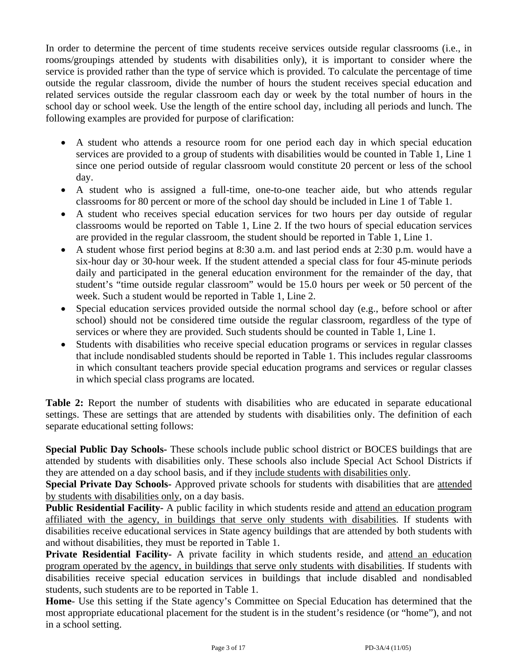In order to determine the percent of time students receive services outside regular classrooms (i.e., in rooms/groupings attended by students with disabilities only), it is important to consider where the service is provided rather than the type of service which is provided. To calculate the percentage of time outside the regular classroom, divide the number of hours the student receives special education and related services outside the regular classroom each day or week by the total number of hours in the school day or school week. Use the length of the entire school day, including all periods and lunch. The following examples are provided for purpose of clarification:

- A student who attends a resource room for one period each day in which special education services are provided to a group of students with disabilities would be counted in Table 1, Line 1 since one period outside of regular classroom would constitute 20 percent or less of the school day.
- A student who is assigned a full-time, one-to-one teacher aide, but who attends regular classrooms for 80 percent or more of the school day should be included in Line 1 of Table 1.
- A student who receives special education services for two hours per day outside of regular classrooms would be reported on Table 1, Line 2. If the two hours of special education services are provided in the regular classroom, the student should be reported in Table 1, Line 1.
- A student whose first period begins at 8:30 a.m. and last period ends at 2:30 p.m. would have a six-hour day or 30-hour week. If the student attended a special class for four 45-minute periods daily and participated in the general education environment for the remainder of the day, that student's "time outside regular classroom" would be 15.0 hours per week or 50 percent of the week. Such a student would be reported in Table 1, Line 2.
- Special education services provided outside the normal school day (e.g., before school or after school) should not be considered time outside the regular classroom, regardless of the type of services or where they are provided. Such students should be counted in Table 1, Line 1.
- Students with disabilities who receive special education programs or services in regular classes that include nondisabled students should be reported in Table 1. This includes regular classrooms in which consultant teachers provide special education programs and services or regular classes in which special class programs are located.

**Table 2:** Report the number of students with disabilities who are educated in separate educational settings. These are settings that are attended by students with disabilities only. The definition of each separate educational setting follows:

**Special Public Day Schools-** These schools include public school district or BOCES buildings that are attended by students with disabilities only. These schools also include Special Act School Districts if they are attended on a day school basis, and if they include students with disabilities only.

**Special Private Day Schools-** Approved private schools for students with disabilities that are attended by students with disabilities only, on a day basis.

**Public Residential Facility-** A public facility in which students reside and attend an education program affiliated with the agency, in buildings that serve only students with disabilities. If students with disabilities receive educational services in State agency buildings that are attended by both students with and without disabilities, they must be reported in Table 1.

**Private Residential Facility-** A private facility in which students reside, and attend an education program operated by the agency, in buildings that serve only students with disabilities. If students with disabilities receive special education services in buildings that include disabled and nondisabled students, such students are to be reported in Table 1.

**Home**- Use this setting if the State agency's Committee on Special Education has determined that the most appropriate educational placement for the student is in the student's residence (or "home"), and not in a school setting.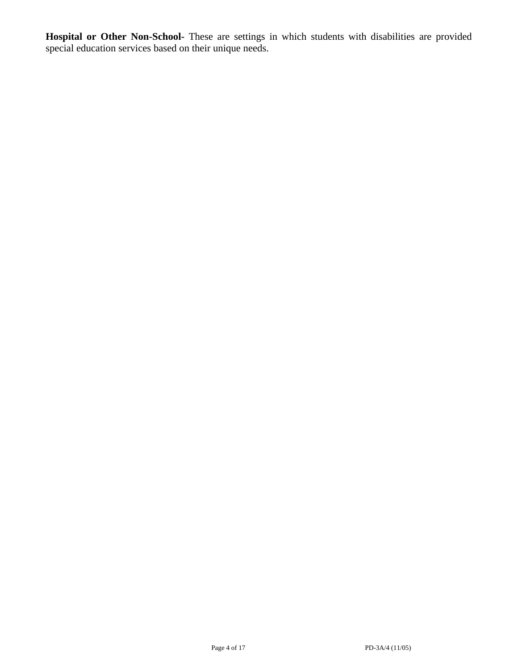**Hospital or Other Non-School-** These are settings in which students with disabilities are provided special education services based on their unique needs.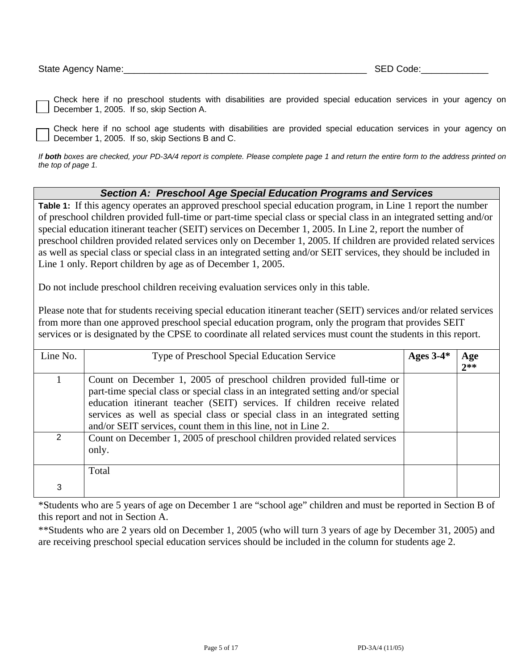Check here if no preschool students with disabilities are provided special education services in your agency on December 1, 2005. If so, skip Section A.

Check here if no school age students with disabilities are provided special education services in your agency on December 1, 2005. If so, skip Sections B and C.

*If both boxes are checked, your PD-3A/4 report is complete. Please complete page 1 and return the entire form to the address printed on the top of page 1.* 

#### *Section A: Preschool Age Special Education Programs and Services*

**Table 1:** If this agency operates an approved preschool special education program, in Line 1 report the number of preschool children provided full-time or part-time special class or special class in an integrated setting and/or special education itinerant teacher (SEIT) services on December 1, 2005. In Line 2, report the number of preschool children provided related services only on December 1, 2005. If children are provided related services as well as special class or special class in an integrated setting and/or SEIT services, they should be included in Line 1 only. Report children by age as of December 1, 2005.

Do not include preschool children receiving evaluation services only in this table.

Please note that for students receiving special education itinerant teacher (SEIT) services and/or related services from more than one approved preschool special education program, only the program that provides SEIT services or is designated by the CPSE to coordinate all related services must count the students in this report.

| Line No.      | Type of Preschool Special Education Service                                                                                                                                                                                                                                                                                                                                           | Ages $3-4*$ | Age<br>$2**$ |
|---------------|---------------------------------------------------------------------------------------------------------------------------------------------------------------------------------------------------------------------------------------------------------------------------------------------------------------------------------------------------------------------------------------|-------------|--------------|
|               | Count on December 1, 2005 of preschool children provided full-time or<br>part-time special class or special class in an integrated setting and/or special<br>education itinerant teacher (SEIT) services. If children receive related<br>services as well as special class or special class in an integrated setting<br>and/or SEIT services, count them in this line, not in Line 2. |             |              |
| $\mathcal{P}$ | Count on December 1, 2005 of preschool children provided related services<br>only.                                                                                                                                                                                                                                                                                                    |             |              |
|               | Total                                                                                                                                                                                                                                                                                                                                                                                 |             |              |
|               |                                                                                                                                                                                                                                                                                                                                                                                       |             |              |

\*Students who are 5 years of age on December 1 are "school age" children and must be reported in Section B of this report and not in Section A.

\*\*Students who are 2 years old on December 1, 2005 (who will turn 3 years of age by December 31, 2005) and are receiving preschool special education services should be included in the column for students age 2.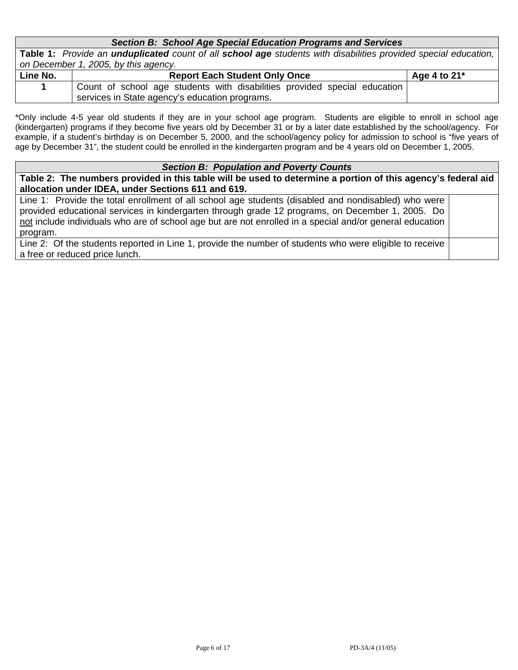#### *Section B: School Age Special Education Programs and Services*

**Table 1:** *Provide an unduplicated count of all school age students with disabilities provided special education, on December 1, 2005, by this agency.* 

| Line No. | <b>Report Each Student Only Once</b>                                      | Age 4 to $21^*$ |
|----------|---------------------------------------------------------------------------|-----------------|
|          | Count of school age students with disabilities provided special education |                 |
|          | services in State agency's education programs.                            |                 |

\*Only include 4-5 year old students if they are in your school age program. Students are eligible to enroll in school age (kindergarten) programs if they become five years old by December 31 or by a later date established by the school/agency. For example, if a student's birthday is on December 5, 2000, and the school/agency policy for admission to school is "five years of age by December 31", the student could be enrolled in the kindergarten program and be 4 years old on December 1, 2005.

#### *Section B: Population and Poverty Counts*

**Table 2: The numbers provided in this table will be used to determine a portion of this agency's federal aid allocation under IDEA, under Sections 611 and 619.** 

Line 1: Provide the total enrollment of all school age students (disabled and nondisabled) who were provided educational services in kindergarten through grade 12 programs, on December 1, 2005. Do not include individuals who are of school age but are not enrolled in a special and/or general education program.

Line 2: Of the students reported in Line 1, provide the number of students who were eligible to receive a free or reduced price lunch.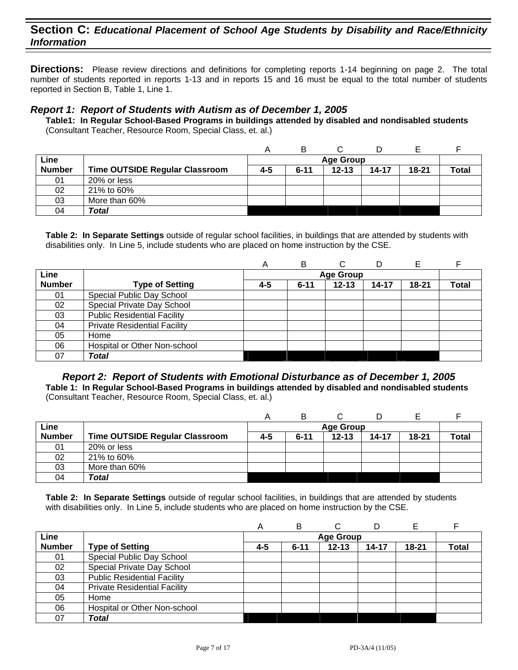**Directions:** Please review directions and definitions for completing reports 1-14 beginning on page 2. The total number of students reported in reports 1-13 and in reports 15 and 16 must be equal to the total number of students reported in Section B, Table 1, Line 1.

#### *Report 1: Report of Students with Autism as of December 1, 2005*

**Table1: In Regular School-Based Programs in buildings attended by disabled and nondisabled students**  (Consultant Teacher, Resource Room, Special Class, et. al.)

| Line          |                                       |     |          | <b>Age Group</b> |       |           |              |
|---------------|---------------------------------------|-----|----------|------------------|-------|-----------|--------------|
| <b>Number</b> | <b>Time OUTSIDE Regular Classroom</b> | 4-5 | $6 - 11$ | $12 - 13$        | 14-17 | $18 - 21$ | <b>Total</b> |
| 01            | 20% or less                           |     |          |                  |       |           |              |
| 02            | 21% to 60%                            |     |          |                  |       |           |              |
| 03            | More than 60%                         |     |          |                  |       |           |              |
| 04            | Total                                 |     |          |                  |       |           |              |

**Table 2: In Separate Settings** outside of regular school facilities, in buildings that are attended by students with disabilities only. In Line 5, include students who are placed on home instruction by the CSE.

|               |                                     | Α   | B        |                  | D     |           |              |
|---------------|-------------------------------------|-----|----------|------------------|-------|-----------|--------------|
| Line          |                                     |     |          | <b>Age Group</b> |       |           |              |
| <b>Number</b> | <b>Type of Setting</b>              | 4-5 | $6 - 11$ | $12 - 13$        | 14-17 | $18 - 21$ | <b>Total</b> |
| 01            | Special Public Day School           |     |          |                  |       |           |              |
| 02            | Special Private Day School          |     |          |                  |       |           |              |
| 03            | <b>Public Residential Facility</b>  |     |          |                  |       |           |              |
| 04            | <b>Private Residential Facility</b> |     |          |                  |       |           |              |
| 05            | Home                                |     |          |                  |       |           |              |
| 06            | Hospital or Other Non-school        |     |          |                  |       |           |              |
| 07            | <b>Total</b>                        |     |          |                  |       |           |              |

*Report 2: Report of Students with Emotional Disturbance as of December 1, 2005*  **Table 1: In Regular School-Based Programs in buildings attended by disabled and nondisabled students**  (Consultant Teacher, Resource Room, Special Class, et. al.)

| Line          |                                       |     |          | <b>Age Group</b> |       |           |              |
|---------------|---------------------------------------|-----|----------|------------------|-------|-----------|--------------|
| <b>Number</b> | <b>Time OUTSIDE Regular Classroom</b> | 4-5 | $6 - 11$ | $12 - 13$        | 14-17 | $18 - 21$ | <b>Total</b> |
| 01            | 20% or less                           |     |          |                  |       |           |              |
| 02            | 21% to 60%                            |     |          |                  |       |           |              |
| 03            | More than 60%                         |     |          |                  |       |           |              |
| 04            | Total                                 |     |          |                  |       |           |              |

|               |                                     | A   | в        | С                |           | E         |              |
|---------------|-------------------------------------|-----|----------|------------------|-----------|-----------|--------------|
| Line          |                                     |     |          | <b>Age Group</b> |           |           |              |
| <b>Number</b> | <b>Type of Setting</b>              | 4-5 | $6 - 11$ | $12 - 13$        | $14 - 17$ | $18 - 21$ | <b>Total</b> |
| 01            | Special Public Day School           |     |          |                  |           |           |              |
| 02            | Special Private Day School          |     |          |                  |           |           |              |
| 03            | <b>Public Residential Facility</b>  |     |          |                  |           |           |              |
| 04            | <b>Private Residential Facility</b> |     |          |                  |           |           |              |
| 05            | Home                                |     |          |                  |           |           |              |
| 06            | Hospital or Other Non-school        |     |          |                  |           |           |              |
| 07            | <b>Total</b>                        |     |          |                  |           |           |              |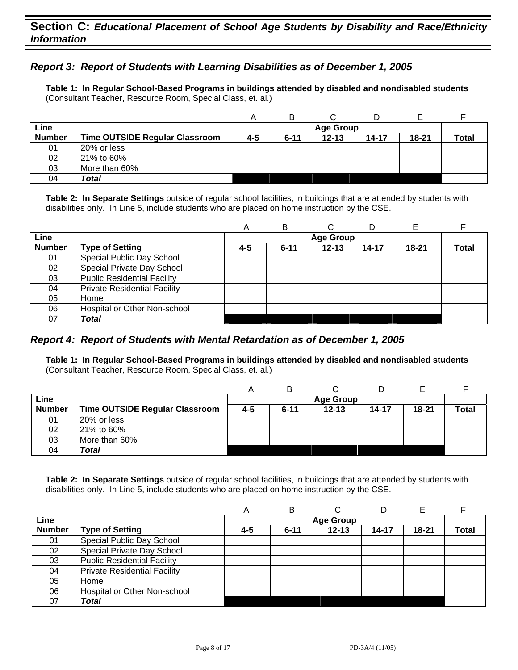## *Report 3: Report of Students with Learning Disabilities as of December 1, 2005*

**Table 1: In Regular School-Based Programs in buildings attended by disabled and nondisabled students**  (Consultant Teacher, Resource Room, Special Class, et. al.)

|               |                                       | А       | В        |                  | D     |           |              |
|---------------|---------------------------------------|---------|----------|------------------|-------|-----------|--------------|
| Line          |                                       |         |          | <b>Age Group</b> |       |           |              |
| <b>Number</b> | <b>Time OUTSIDE Regular Classroom</b> | $4 - 5$ | $6 - 11$ | $12 - 13$        | 14-17 | $18 - 21$ | <b>Total</b> |
| 01            | 20% or less                           |         |          |                  |       |           |              |
| 02            | 21% to 60%                            |         |          |                  |       |           |              |
| 03            | More than 60%                         |         |          |                  |       |           |              |
| 04            | Total                                 |         |          |                  |       |           |              |

**Table 2: In Separate Settings** outside of regular school facilities, in buildings that are attended by students with disabilities only. In Line 5, include students who are placed on home instruction by the CSE.

|               |                                     | A   | B        |                  | D         |           |              |
|---------------|-------------------------------------|-----|----------|------------------|-----------|-----------|--------------|
| Line          |                                     |     |          | <b>Age Group</b> |           |           |              |
| <b>Number</b> | <b>Type of Setting</b>              | 4-5 | $6 - 11$ | $12 - 13$        | $14 - 17$ | $18 - 21$ | <b>Total</b> |
| 01            | Special Public Day School           |     |          |                  |           |           |              |
| 02            | Special Private Day School          |     |          |                  |           |           |              |
| 03            | <b>Public Residential Facility</b>  |     |          |                  |           |           |              |
| 04            | <b>Private Residential Facility</b> |     |          |                  |           |           |              |
| 05            | Home                                |     |          |                  |           |           |              |
| 06            | Hospital or Other Non-school        |     |          |                  |           |           |              |
| 07            | Total                               |     |          |                  |           |           |              |

#### *Report 4: Report of Students with Mental Retardation as of December 1, 2005*

**Table 1: In Regular School-Based Programs in buildings attended by disabled and nondisabled students**  (Consultant Teacher, Resource Room, Special Class, et. al.)

|               |                                       | Α   | B        |                  |       |           |              |
|---------------|---------------------------------------|-----|----------|------------------|-------|-----------|--------------|
| Line          |                                       |     |          | <b>Age Group</b> |       |           |              |
| <b>Number</b> | <b>Time OUTSIDE Regular Classroom</b> | 4-5 | $6 - 11$ | $12 - 13$        | 14-17 | $18 - 21$ | <b>Total</b> |
| 01            | 20% or less                           |     |          |                  |       |           |              |
| 02            | 21% to 60%                            |     |          |                  |       |           |              |
| 03            | More than 60%                         |     |          |                  |       |           |              |
| 04            | Total                                 |     |          |                  |       |           |              |

|               |                                     | А       | в        | C                |           |           |       |
|---------------|-------------------------------------|---------|----------|------------------|-----------|-----------|-------|
| Line          |                                     |         |          | <b>Age Group</b> |           |           |       |
| <b>Number</b> | <b>Type of Setting</b>              | $4 - 5$ | $6 - 11$ | $12 - 13$        | $14 - 17$ | $18 - 21$ | Total |
| 01            | Special Public Day School           |         |          |                  |           |           |       |
| 02            | Special Private Day School          |         |          |                  |           |           |       |
| 03            | <b>Public Residential Facility</b>  |         |          |                  |           |           |       |
| 04            | <b>Private Residential Facility</b> |         |          |                  |           |           |       |
| 05            | Home                                |         |          |                  |           |           |       |
| 06            | Hospital or Other Non-school        |         |          |                  |           |           |       |
| 07            | Total                               |         |          |                  |           |           |       |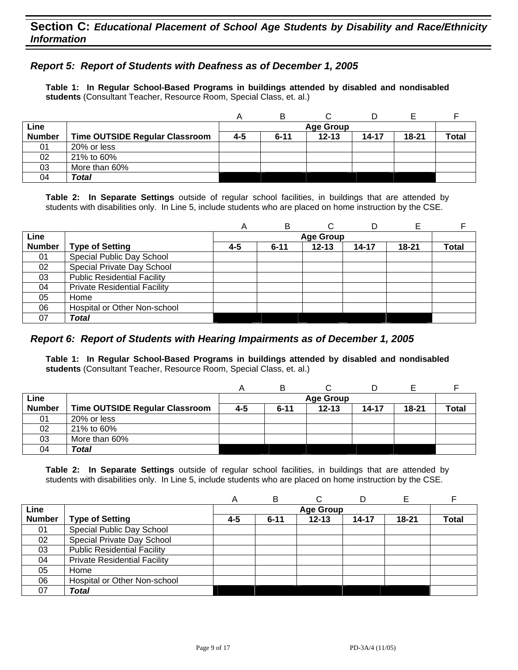## *Report 5: Report of Students with Deafness as of December 1, 2005*

**Table 1: In Regular School-Based Programs in buildings attended by disabled and nondisabled students** (Consultant Teacher, Resource Room, Special Class, et. al.)

|               |                                       |     |          |                  | D     |           |       |
|---------------|---------------------------------------|-----|----------|------------------|-------|-----------|-------|
| Line          |                                       |     |          | <b>Age Group</b> |       |           |       |
| <b>Number</b> | <b>Time OUTSIDE Regular Classroom</b> | 4-5 | $6 - 11$ | $12 - 13$        | 14-17 | $18 - 21$ | Total |
| 01            | 20% or less                           |     |          |                  |       |           |       |
| 02            | 21% to 60%                            |     |          |                  |       |           |       |
| 03            | More than 60%                         |     |          |                  |       |           |       |
| 04            | Total                                 |     |          |                  |       |           |       |

**Table 2: In Separate Settings** outside of regular school facilities, in buildings that are attended by students with disabilities only. In Line 5, include students who are placed on home instruction by the CSE.

|               |                                     | Α   | B        |                  |       |           |       |
|---------------|-------------------------------------|-----|----------|------------------|-------|-----------|-------|
| Line          |                                     |     |          | <b>Age Group</b> |       |           |       |
| <b>Number</b> | <b>Type of Setting</b>              | 4-5 | $6 - 11$ | $12 - 13$        | 14-17 | $18 - 21$ | Total |
| 01            | Special Public Day School           |     |          |                  |       |           |       |
| 02            | Special Private Day School          |     |          |                  |       |           |       |
| 03            | <b>Public Residential Facility</b>  |     |          |                  |       |           |       |
| 04            | <b>Private Residential Facility</b> |     |          |                  |       |           |       |
| 05            | Home                                |     |          |                  |       |           |       |
| 06            | Hospital or Other Non-school        |     |          |                  |       |           |       |
| 07            | <b>Total</b>                        |     |          |                  |       |           |       |

#### *Report 6: Report of Students with Hearing Impairments as of December 1, 2005*

**Table 1: In Regular School-Based Programs in buildings attended by disabled and nondisabled students** (Consultant Teacher, Resource Room, Special Class, et. al.)

|               |                                       | A   | в        |                  |       |       |       |
|---------------|---------------------------------------|-----|----------|------------------|-------|-------|-------|
| Line          |                                       |     |          | <b>Age Group</b> |       |       |       |
| <b>Number</b> | <b>Time OUTSIDE Regular Classroom</b> | 4-5 | $6 - 11$ | $12 - 13$        | 14-17 | 18-21 | Total |
| 01            | 20% or less                           |     |          |                  |       |       |       |
| 02            | 21% to 60%                            |     |          |                  |       |       |       |
| 03            | More than 60%                         |     |          |                  |       |       |       |
| 04            | Total                                 |     |          |                  |       |       |       |

|               |                                     | $\forall$ | B        |                  |       |           |              |
|---------------|-------------------------------------|-----------|----------|------------------|-------|-----------|--------------|
| Line          |                                     |           |          | <b>Age Group</b> |       |           |              |
| <b>Number</b> | <b>Type of Setting</b>              | 4-5       | $6 - 11$ | $12 - 13$        | 14-17 | $18 - 21$ | <b>Total</b> |
| 01            | Special Public Day School           |           |          |                  |       |           |              |
| 02            | Special Private Day School          |           |          |                  |       |           |              |
| 03            | <b>Public Residential Facility</b>  |           |          |                  |       |           |              |
| 04            | <b>Private Residential Facility</b> |           |          |                  |       |           |              |
| 05            | Home                                |           |          |                  |       |           |              |
| 06            | Hospital or Other Non-school        |           |          |                  |       |           |              |
| 07            | Total                               |           |          |                  |       |           |              |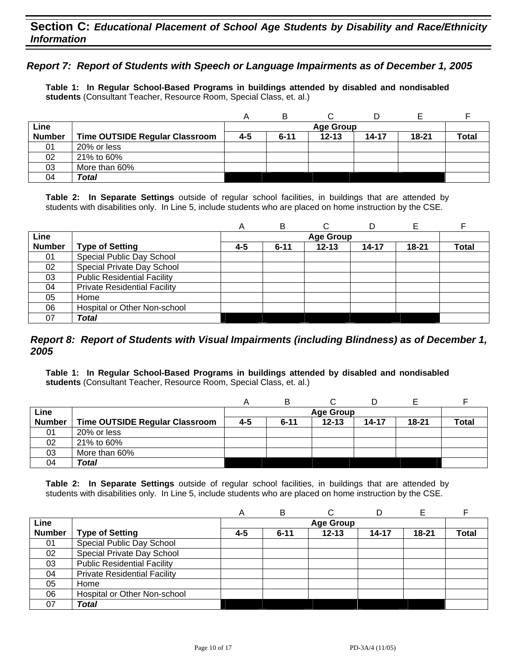## *Report 7: Report of Students with Speech or Language Impairments as of December 1, 2005*

**Table 1: In Regular School-Based Programs in buildings attended by disabled and nondisabled students** (Consultant Teacher, Resource Room, Special Class, et. al.)

|               |                                |     | B        |                  |           |       |              |
|---------------|--------------------------------|-----|----------|------------------|-----------|-------|--------------|
| Line          |                                |     |          | <b>Age Group</b> |           |       |              |
| <b>Number</b> | Time OUTSIDE Regular Classroom | 4-5 | $6 - 11$ | $12 - 13$        | $14 - 17$ | 18-21 | <b>Total</b> |
| 01            | 20% or less                    |     |          |                  |           |       |              |
| 02            | 21% to 60%                     |     |          |                  |           |       |              |
| 03            | More than 60%                  |     |          |                  |           |       |              |
| 04            | Total                          |     |          |                  |           |       |              |

**Table 2: In Separate Settings** outside of regular school facilities, in buildings that are attended by students with disabilities only. In Line 5, include students who are placed on home instruction by the CSE.

|               |                                     | Α   | в        | С                | D     |           |              |
|---------------|-------------------------------------|-----|----------|------------------|-------|-----------|--------------|
| Line          |                                     |     |          | <b>Age Group</b> |       |           |              |
| <b>Number</b> | <b>Type of Setting</b>              | 4-5 | $6 - 11$ | $12 - 13$        | 14-17 | $18 - 21$ | <b>Total</b> |
| 01            | Special Public Day School           |     |          |                  |       |           |              |
| 02            | Special Private Day School          |     |          |                  |       |           |              |
| 03            | <b>Public Residential Facility</b>  |     |          |                  |       |           |              |
| 04            | <b>Private Residential Facility</b> |     |          |                  |       |           |              |
| 05            | Home                                |     |          |                  |       |           |              |
| 06            | Hospital or Other Non-school        |     |          |                  |       |           |              |
| 07            | Total                               |     |          |                  |       |           |              |

#### *Report 8: Report of Students with Visual Impairments (including Blindness) as of December 1, 2005*

**Table 1: In Regular School-Based Programs in buildings attended by disabled and nondisabled students** (Consultant Teacher, Resource Room, Special Class, et. al.)

|               |                                       |     | в        |                  |           |           |              |
|---------------|---------------------------------------|-----|----------|------------------|-----------|-----------|--------------|
| Line          |                                       |     |          | <b>Age Group</b> |           |           |              |
| <b>Number</b> | <b>Time OUTSIDE Regular Classroom</b> | 4-5 | $6 - 11$ | $12 - 13$        | $14 - 17$ | $18 - 21$ | <b>Total</b> |
| 01            | 20% or less                           |     |          |                  |           |           |              |
| 02            | 21% to 60%                            |     |          |                  |           |           |              |
| 03            | More than 60%                         |     |          |                  |           |           |              |
| 04            | Total                                 |     |          |                  |           |           |              |

|               |                                     | Α   | В        |                  |           |           |       |
|---------------|-------------------------------------|-----|----------|------------------|-----------|-----------|-------|
| Line          |                                     |     |          | <b>Age Group</b> |           |           |       |
| <b>Number</b> | <b>Type of Setting</b>              | 4-5 | $6 - 11$ | $12 - 13$        | $14 - 17$ | $18 - 21$ | Total |
| 01            | Special Public Day School           |     |          |                  |           |           |       |
| 02            | Special Private Day School          |     |          |                  |           |           |       |
| 03            | <b>Public Residential Facility</b>  |     |          |                  |           |           |       |
| 04            | <b>Private Residential Facility</b> |     |          |                  |           |           |       |
| 05            | Home                                |     |          |                  |           |           |       |
| 06            | Hospital or Other Non-school        |     |          |                  |           |           |       |
| 07            | Total                               |     |          |                  |           |           |       |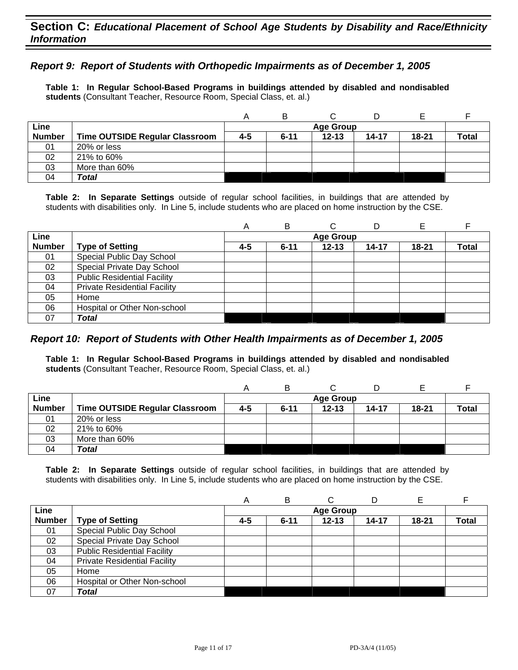## *Report 9: Report of Students with Orthopedic Impairments as of December 1, 2005*

**Table 1: In Regular School-Based Programs in buildings attended by disabled and nondisabled students** (Consultant Teacher, Resource Room, Special Class, et. al.)

|               |                                       |     | В        |                  |           |           |              |
|---------------|---------------------------------------|-----|----------|------------------|-----------|-----------|--------------|
| Line          |                                       |     |          | <b>Age Group</b> |           |           |              |
| <b>Number</b> | <b>Time OUTSIDE Regular Classroom</b> | 4-5 | $6 - 11$ | $12 - 13$        | $14 - 17$ | $18 - 21$ | <b>Total</b> |
| 01            | 20% or less                           |     |          |                  |           |           |              |
| 02            | 21% to 60%                            |     |          |                  |           |           |              |
| 03            | More than 60%                         |     |          |                  |           |           |              |
| 04            | Total                                 |     |          |                  |           |           |              |

**Table 2: In Separate Settings** outside of regular school facilities, in buildings that are attended by students with disabilities only. In Line 5, include students who are placed on home instruction by the CSE.

|               |                                     | Α   | в        | C                | D     | E         |       |
|---------------|-------------------------------------|-----|----------|------------------|-------|-----------|-------|
| Line          |                                     |     |          | <b>Age Group</b> |       |           |       |
| <b>Number</b> | <b>Type of Setting</b>              | 4-5 | $6 - 11$ | $12 - 13$        | 14-17 | $18 - 21$ | Total |
| 01            | Special Public Day School           |     |          |                  |       |           |       |
| 02            | Special Private Day School          |     |          |                  |       |           |       |
| 03            | <b>Public Residential Facility</b>  |     |          |                  |       |           |       |
| 04            | <b>Private Residential Facility</b> |     |          |                  |       |           |       |
| 05            | Home                                |     |          |                  |       |           |       |
| 06            | Hospital or Other Non-school        |     |          |                  |       |           |       |
| 07            | Total                               |     |          |                  |       |           |       |

#### *Report 10: Report of Students with Other Health Impairments as of December 1, 2005*

**Table 1: In Regular School-Based Programs in buildings attended by disabled and nondisabled students** (Consultant Teacher, Resource Room, Special Class, et. al.)

|               |                                |     | в        |                  |       |           |              |
|---------------|--------------------------------|-----|----------|------------------|-------|-----------|--------------|
| Line          |                                |     |          | <b>Age Group</b> |       |           |              |
| <b>Number</b> | Time OUTSIDE Regular Classroom | 4-5 | $6 - 11$ | $12 - 13$        | 14-17 | $18 - 21$ | <b>Total</b> |
| 01            | 20% or less                    |     |          |                  |       |           |              |
| 02            | 21% to 60%                     |     |          |                  |       |           |              |
| 03            | More than 60%                  |     |          |                  |       |           |              |
| 04            | Total                          |     |          |                  |       |           |              |

|               |                                     | A   | B        |                  |       | Е         |       |
|---------------|-------------------------------------|-----|----------|------------------|-------|-----------|-------|
| Line          |                                     |     |          | <b>Age Group</b> |       |           |       |
| <b>Number</b> | <b>Type of Setting</b>              | 4-5 | $6 - 11$ | $12 - 13$        | 14-17 | $18 - 21$ | Total |
| 01            | Special Public Day School           |     |          |                  |       |           |       |
| 02            | Special Private Day School          |     |          |                  |       |           |       |
| 03            | <b>Public Residential Facility</b>  |     |          |                  |       |           |       |
| 04            | <b>Private Residential Facility</b> |     |          |                  |       |           |       |
| 05            | Home                                |     |          |                  |       |           |       |
| 06            | Hospital or Other Non-school        |     |          |                  |       |           |       |
| 07            | <b>Total</b>                        |     |          |                  |       |           |       |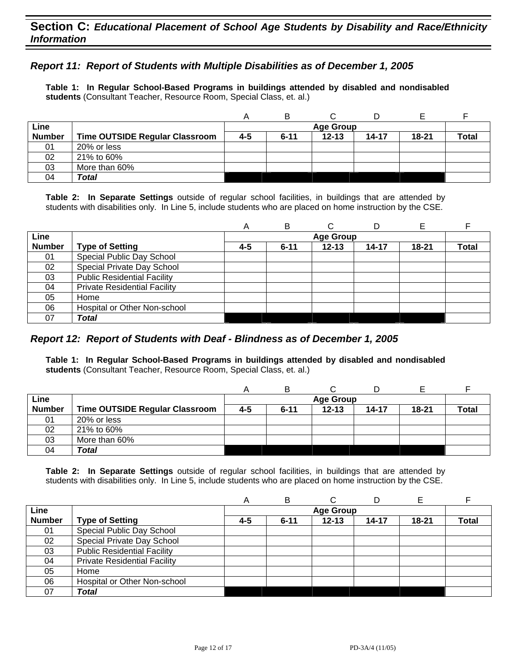## *Report 11: Report of Students with Multiple Disabilities as of December 1, 2005*

**Table 1: In Regular School-Based Programs in buildings attended by disabled and nondisabled students** (Consultant Teacher, Resource Room, Special Class, et. al.)

|               |                                |     | B        |                  |       |           |              |
|---------------|--------------------------------|-----|----------|------------------|-------|-----------|--------------|
| Line          |                                |     |          | <b>Age Group</b> |       |           |              |
| <b>Number</b> | Time OUTSIDE Regular Classroom | 4-5 | $6 - 11$ | $12 - 13$        | 14-17 | $18 - 21$ | <b>Total</b> |
| 01            | 20% or less                    |     |          |                  |       |           |              |
| 02            | 21% to 60%                     |     |          |                  |       |           |              |
| 03            | More than 60%                  |     |          |                  |       |           |              |
| 04            | Total                          |     |          |                  |       |           |              |

**Table 2: In Separate Settings** outside of regular school facilities, in buildings that are attended by students with disabilities only. In Line 5, include students who are placed on home instruction by the CSE.

|               |                                     | A   | в        |                  | D     | Е         |              |
|---------------|-------------------------------------|-----|----------|------------------|-------|-----------|--------------|
| Line          |                                     |     |          | <b>Age Group</b> |       |           |              |
| <b>Number</b> | <b>Type of Setting</b>              | 4-5 | $6 - 11$ | $12 - 13$        | 14-17 | $18 - 21$ | <b>Total</b> |
| 01            | Special Public Day School           |     |          |                  |       |           |              |
| 02            | Special Private Day School          |     |          |                  |       |           |              |
| 03            | <b>Public Residential Facility</b>  |     |          |                  |       |           |              |
| 04            | <b>Private Residential Facility</b> |     |          |                  |       |           |              |
| 05            | Home                                |     |          |                  |       |           |              |
| 06            | Hospital or Other Non-school        |     |          |                  |       |           |              |
| 07            | Total                               |     |          |                  |       |           |              |

#### *Report 12: Report of Students with Deaf - Blindness as of December 1, 2005*

**Table 1: In Regular School-Based Programs in buildings attended by disabled and nondisabled students** (Consultant Teacher, Resource Room, Special Class, et. al.)

|               |                                       |     | B        |                  |       |       |       |
|---------------|---------------------------------------|-----|----------|------------------|-------|-------|-------|
| Line          |                                       |     |          | <b>Age Group</b> |       |       |       |
| <b>Number</b> | <b>Time OUTSIDE Regular Classroom</b> | 4-5 | $6 - 11$ | $12 - 13$        | 14-17 | 18-21 | Total |
| 01            | 20% or less                           |     |          |                  |       |       |       |
| 02            | 21% to 60%                            |     |          |                  |       |       |       |
| 03            | More than 60%                         |     |          |                  |       |       |       |
| 04            | Total                                 |     |          |                  |       |       |       |

|               |                                     | А       | в        | C                |           | Е         |              |
|---------------|-------------------------------------|---------|----------|------------------|-----------|-----------|--------------|
| Line          |                                     |         |          | <b>Age Group</b> |           |           |              |
| <b>Number</b> | <b>Type of Setting</b>              | $4 - 5$ | $6 - 11$ | $12 - 13$        | $14 - 17$ | $18 - 21$ | <b>Total</b> |
| 01            | Special Public Day School           |         |          |                  |           |           |              |
| 02            | Special Private Day School          |         |          |                  |           |           |              |
| 03            | <b>Public Residential Facility</b>  |         |          |                  |           |           |              |
| 04            | <b>Private Residential Facility</b> |         |          |                  |           |           |              |
| 05            | Home                                |         |          |                  |           |           |              |
| 06            | Hospital or Other Non-school        |         |          |                  |           |           |              |
| 07            | Total                               |         |          |                  |           |           |              |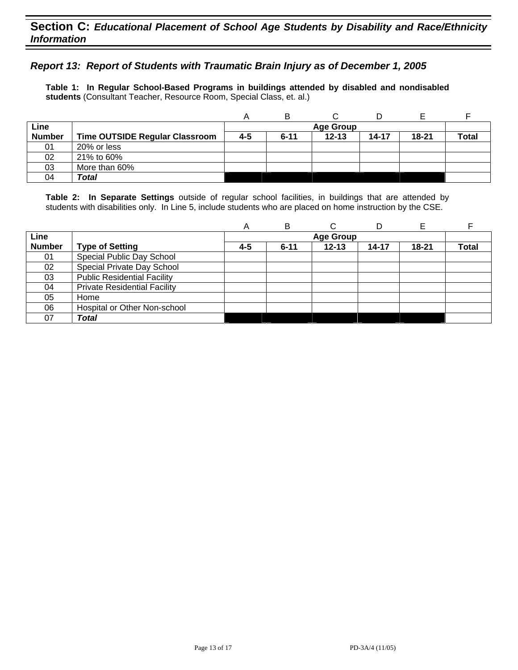## *Report 13: Report of Students with Traumatic Brain Injury as of December 1, 2005*

**Table 1: In Regular School-Based Programs in buildings attended by disabled and nondisabled students** (Consultant Teacher, Resource Room, Special Class, et. al.)

|               |                                       |     | B                |           |       |       |              |  |  |  |
|---------------|---------------------------------------|-----|------------------|-----------|-------|-------|--------------|--|--|--|
| Line          |                                       |     | <b>Age Group</b> |           |       |       |              |  |  |  |
| <b>Number</b> | <b>Time OUTSIDE Regular Classroom</b> | 4-5 | $6 - 11$         | $12 - 13$ | 14-17 | 18-21 | <b>Total</b> |  |  |  |
| 01            | 20% or less                           |     |                  |           |       |       |              |  |  |  |
| 02            | 21% to 60%                            |     |                  |           |       |       |              |  |  |  |
| 03            | More than 60%                         |     |                  |           |       |       |              |  |  |  |
| 04            | <b>Total</b>                          |     |                  |           |       |       |              |  |  |  |

|               |                                     | A   | в        | ⌒         | D     |           |              |
|---------------|-------------------------------------|-----|----------|-----------|-------|-----------|--------------|
| Line          |                                     |     |          |           |       |           |              |
| <b>Number</b> | <b>Type of Setting</b>              | 4-5 | $6 - 11$ | $12 - 13$ | 14-17 | $18 - 21$ | <b>Total</b> |
| 01            | Special Public Day School           |     |          |           |       |           |              |
| 02            | Special Private Day School          |     |          |           |       |           |              |
| 03            | <b>Public Residential Facility</b>  |     |          |           |       |           |              |
| 04            | <b>Private Residential Facility</b> |     |          |           |       |           |              |
| 05            | Home                                |     |          |           |       |           |              |
| 06            | Hospital or Other Non-school        |     |          |           |       |           |              |
| 07            | Total                               |     |          |           |       |           |              |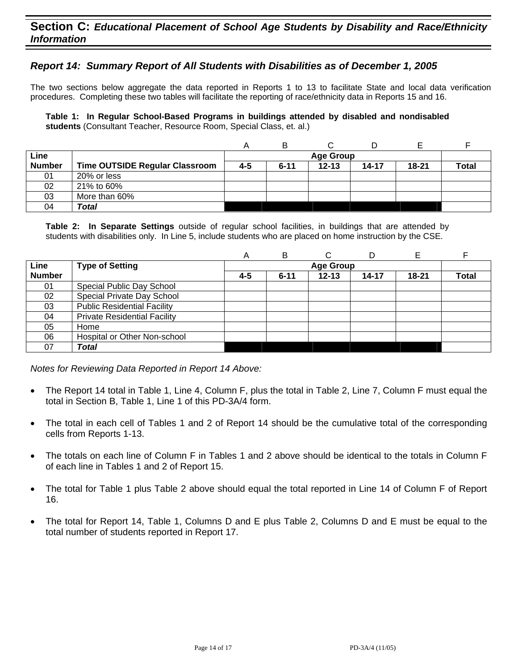## *Report 14: Summary Report of All Students with Disabilities as of December 1, 2005*

The two sections below aggregate the data reported in Reports 1 to 13 to facilitate State and local data verification procedures. Completing these two tables will facilitate the reporting of race/ethnicity data in Reports 15 and 16.

**Table 1: In Regular School-Based Programs in buildings attended by disabled and nondisabled students** (Consultant Teacher, Resource Room, Special Class, et. al.)

|               |                                       |         | B        |                  |       |           |       |
|---------------|---------------------------------------|---------|----------|------------------|-------|-----------|-------|
| Line          |                                       |         |          | <b>Age Group</b> |       |           |       |
| <b>Number</b> | <b>Time OUTSIDE Regular Classroom</b> | $4 - 5$ | $6 - 11$ | $12 - 13$        | 14-17 | $18 - 21$ | Total |
| 01            | 20% or less                           |         |          |                  |       |           |       |
| 02            | 21% to 60%                            |         |          |                  |       |           |       |
| 03            | More than 60%                         |         |          |                  |       |           |       |
| 04            | Total                                 |         |          |                  |       |           |       |

**Table 2: In Separate Settings** outside of regular school facilities, in buildings that are attended by students with disabilities only. In Line 5, include students who are placed on home instruction by the CSE.

|               |                                     | A       | B        | С         |       |           |              |
|---------------|-------------------------------------|---------|----------|-----------|-------|-----------|--------------|
| Line          | <b>Type of Setting</b>              |         |          |           |       |           |              |
| <b>Number</b> |                                     | $4 - 5$ | $6 - 11$ | $12 - 13$ | 14-17 | $18 - 21$ | <b>Total</b> |
| 01            | Special Public Day School           |         |          |           |       |           |              |
| 02            | Special Private Day School          |         |          |           |       |           |              |
| 03            | <b>Public Residential Facility</b>  |         |          |           |       |           |              |
| 04            | <b>Private Residential Facility</b> |         |          |           |       |           |              |
| 05            | Home                                |         |          |           |       |           |              |
| 06            | Hospital or Other Non-school        |         |          |           |       |           |              |
| 07            | Total                               |         |          |           |       |           |              |

*Notes for Reviewing Data Reported in Report 14 Above:* 

- The Report 14 total in Table 1, Line 4, Column F, plus the total in Table 2, Line 7, Column F must equal the total in Section B, Table 1, Line 1 of this PD-3A/4 form.
- The total in each cell of Tables 1 and 2 of Report 14 should be the cumulative total of the corresponding cells from Reports 1-13.
- The totals on each line of Column F in Tables 1 and 2 above should be identical to the totals in Column F of each line in Tables 1 and 2 of Report 15.
- The total for Table 1 plus Table 2 above should equal the total reported in Line 14 of Column F of Report 16.
- The total for Report 14, Table 1, Columns D and E plus Table 2, Columns D and E must be equal to the total number of students reported in Report 17.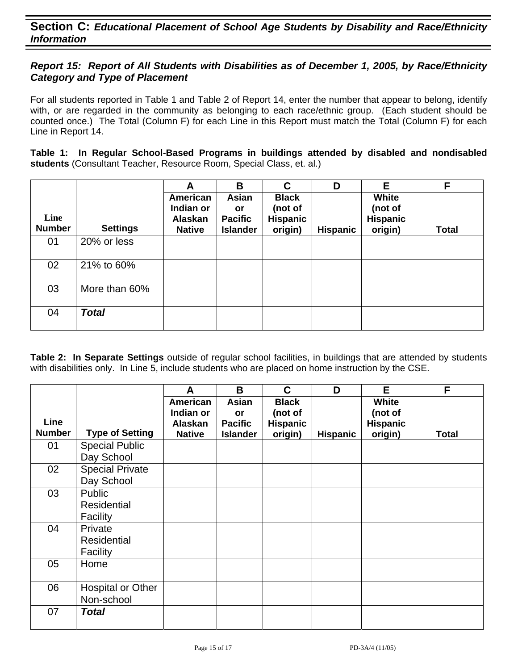## *Report 15: Report of All Students with Disabilities as of December 1, 2005, by Race/Ethnicity Category and Type of Placement*

For all students reported in Table 1 and Table 2 of Report 14, enter the number that appear to belong, identify with, or are regarded in the community as belonging to each race/ethnic group. (Each student should be counted once.) The Total (Column F) for each Line in this Report must match the Total (Column F) for each Line in Report 14.

**Table 1: In Regular School-Based Programs in buildings attended by disabled and nondisabled students** (Consultant Teacher, Resource Room, Special Class, et. al.)

|                       |                 | A                                                 | B                                                | C                                                     | D               | Е                                              | F            |
|-----------------------|-----------------|---------------------------------------------------|--------------------------------------------------|-------------------------------------------------------|-----------------|------------------------------------------------|--------------|
| Line<br><b>Number</b> | <b>Settings</b> | American<br>Indian or<br>Alaskan<br><b>Native</b> | Asian<br>or<br><b>Pacific</b><br><b>Islander</b> | <b>Black</b><br>(not of<br><b>Hispanic</b><br>origin) | <b>Hispanic</b> | White<br>(not of<br><b>Hispanic</b><br>origin) | <b>Total</b> |
| 01                    | 20% or less     |                                                   |                                                  |                                                       |                 |                                                |              |
| 02                    | 21% to 60%      |                                                   |                                                  |                                                       |                 |                                                |              |
| 03                    | More than 60%   |                                                   |                                                  |                                                       |                 |                                                |              |
| 04                    | <b>Total</b>    |                                                   |                                                  |                                                       |                 |                                                |              |

|               |                        | A                        | B                                 | C                          | D               | E                          | F            |
|---------------|------------------------|--------------------------|-----------------------------------|----------------------------|-----------------|----------------------------|--------------|
|               |                        | American                 | Asian                             | <b>Black</b>               |                 | White                      |              |
| Line          |                        | Indian or                | <b>or</b>                         | (not of                    |                 | (not of                    |              |
| <b>Number</b> | <b>Type of Setting</b> | Alaskan<br><b>Native</b> | <b>Pacific</b><br><b>Islander</b> | <b>Hispanic</b><br>origin) | <b>Hispanic</b> | <b>Hispanic</b><br>origin) | <b>Total</b> |
| 01            | <b>Special Public</b>  |                          |                                   |                            |                 |                            |              |
|               | Day School             |                          |                                   |                            |                 |                            |              |
| 02            | <b>Special Private</b> |                          |                                   |                            |                 |                            |              |
|               | Day School             |                          |                                   |                            |                 |                            |              |
| 03            | Public                 |                          |                                   |                            |                 |                            |              |
|               | <b>Residential</b>     |                          |                                   |                            |                 |                            |              |
|               | Facility               |                          |                                   |                            |                 |                            |              |
| 04            | Private                |                          |                                   |                            |                 |                            |              |
|               | <b>Residential</b>     |                          |                                   |                            |                 |                            |              |
|               | Facility               |                          |                                   |                            |                 |                            |              |
| 05            | Home                   |                          |                                   |                            |                 |                            |              |
|               |                        |                          |                                   |                            |                 |                            |              |
| 06            | Hospital or Other      |                          |                                   |                            |                 |                            |              |
|               | Non-school             |                          |                                   |                            |                 |                            |              |
| 07            | <b>Total</b>           |                          |                                   |                            |                 |                            |              |
|               |                        |                          |                                   |                            |                 |                            |              |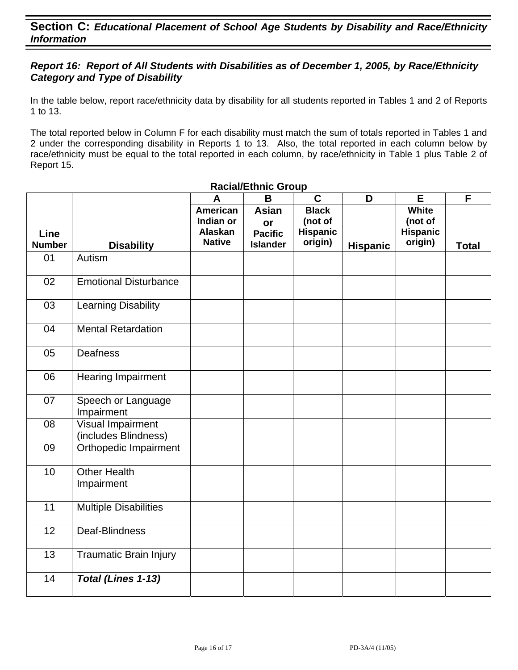## *Report 16: Report of All Students with Disabilities as of December 1, 2005, by Race/Ethnicity Category and Type of Disability*

In the table below, report race/ethnicity data by disability for all students reported in Tables 1 and 2 of Reports 1 to 13.

The total reported below in Column F for each disability must match the sum of totals reported in Tables 1 and 2 under the corresponding disability in Reports 1 to 13. Also, the total reported in each column below by race/ethnicity must be equal to the total reported in each column, by race/ethnicity in Table 1 plus Table 2 of Report 15.

|                       |                                           | A                                                        | $\mathbf B$                                             | $\mathbf C$                                    | D               | E                                                     | F            |
|-----------------------|-------------------------------------------|----------------------------------------------------------|---------------------------------------------------------|------------------------------------------------|-----------------|-------------------------------------------------------|--------------|
| Line<br><b>Number</b> | <b>Disability</b>                         | <b>American</b><br>Indian or<br>Alaskan<br><b>Native</b> | <b>Asian</b><br>or<br><b>Pacific</b><br><b>Islander</b> | <b>Black</b><br>(not of<br>Hispanic<br>origin) | <b>Hispanic</b> | <b>White</b><br>(not of<br><b>Hispanic</b><br>origin) | <b>Total</b> |
| 01                    | Autism                                    |                                                          |                                                         |                                                |                 |                                                       |              |
|                       |                                           |                                                          |                                                         |                                                |                 |                                                       |              |
| 02                    | <b>Emotional Disturbance</b>              |                                                          |                                                         |                                                |                 |                                                       |              |
| 03                    | <b>Learning Disability</b>                |                                                          |                                                         |                                                |                 |                                                       |              |
| 04                    | <b>Mental Retardation</b>                 |                                                          |                                                         |                                                |                 |                                                       |              |
| 05                    | Deafness                                  |                                                          |                                                         |                                                |                 |                                                       |              |
| 06                    | Hearing Impairment                        |                                                          |                                                         |                                                |                 |                                                       |              |
| 07                    | Speech or Language<br>Impairment          |                                                          |                                                         |                                                |                 |                                                       |              |
| 08                    | Visual Impairment<br>(includes Blindness) |                                                          |                                                         |                                                |                 |                                                       |              |
| 09                    | Orthopedic Impairment                     |                                                          |                                                         |                                                |                 |                                                       |              |
| 10                    | <b>Other Health</b><br>Impairment         |                                                          |                                                         |                                                |                 |                                                       |              |
| 11                    | <b>Multiple Disabilities</b>              |                                                          |                                                         |                                                |                 |                                                       |              |
| 12                    | Deaf-Blindness                            |                                                          |                                                         |                                                |                 |                                                       |              |
| 13                    | <b>Traumatic Brain Injury</b>             |                                                          |                                                         |                                                |                 |                                                       |              |
| 14                    | Total (Lines 1-13)                        |                                                          |                                                         |                                                |                 |                                                       |              |

#### **Racial/Ethnic Group**